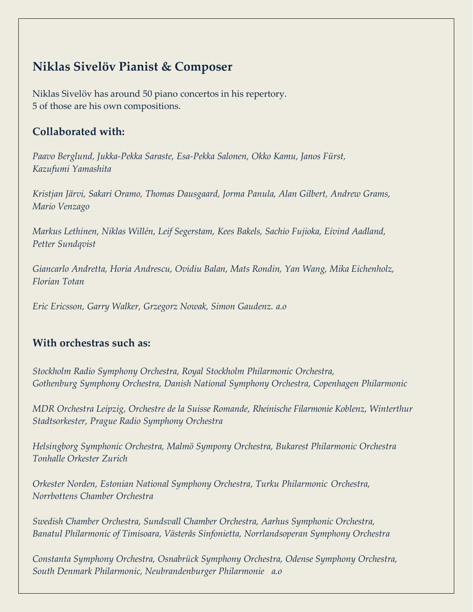# **Niklas Sivelöv Pianist & Composer**

Niklas Sivelöv has around 50 piano concertos in his repertory. 5 of those are his own compositions.

# **Collaborated with:**

*Paavo Berglund, Jukka-Pekka Saraste, Esa-Pekka Salonen, Okko Kamu, Janos Fürst, Kazufumi Yamashita*

*Kristjan Järvi, Sakari Oramo, Thomas Dausgaard, Jorma Panula, Alan Gilbert, Andrew Grams, Mario Venzago*

*Markus Lethinen, Niklas Willén, Leif Segerstam, Kees Bakels, Sachio Fujioka, Eivind Aadland, Petter Sundqvist*

*Giancarlo Andretta, Horia Andrescu, Ovidiu Balan, Mats Rondin, Yan Wang, Mika Eichenholz, Florian Totan*

*Eric Ericsson, Garry Walker, Grzegorz Nowak, Simon Gaudenz. a.o*

# **With orchestras such as:**

*Stockholm Radio Symphony Orchestra, Royal Stockholm Philarmonic Orchestra, Gothenburg Symphony Orchestra, Danish National Symphony Orchestra, Copenhagen Philarmonic*

*MDR Orchestra Leipzig, Orchestre de la Suisse Romande, Rheinische Filarmonie Koblenz, Winterthur Stadtsorkester, Prague Radio Symphony Orchestra*

*Helsingborg Symphonic Orchestra, Malmö Sympony Orchestra, Bukarest Philarmonic Orchestra Tonhalle Orkester Zurich*

*Orkester Norden, Estonian National Symphony Orchestra, Turku Philarmonic Orchestra, Norrbottens Chamber Orchestra*

*Swedish Chamber Orchestra, Sundsvall Chamber Orchestra, Aarhus Symphonic Orchestra, Banatul Philarmonic of Timisoara, Västerås Sinfonietta, Norrlandsoperan Symphony Orchestra*

*Constanta Symphony Orchestra, Osnabrück Symphony Orchestra, Odense Symphony Orchestra, South Denmark Philarmonic, Neubrandenburger Philarmonie a.o*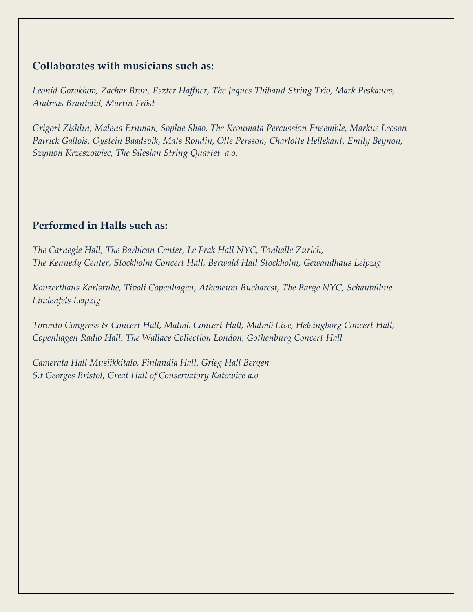## **Collaborates with musicians such as:**

*Leonid Gorokhov, Zachar Bron, Eszter Haffner, The Jaques Thibaud String Trio, Mark Peskanov, Andreas Brantelid, Martin Fröst*

*Grigori Zishlin, Malena Ernman, Sophie Shao, The Kroumata Percussion Ensemble, Markus Leoson Patrick Gallois, Oystein Baadsvik, Mats Rondin, Olle Persson, Charlotte Hellekant, Emily Beynon, Szymon Krzeszowiec, The Silesian String Quartet a.o.*

## **Performed in Halls such as:**

*The Carnegie Hall, The Barbican Center, Le Frak Hall NYC, Tonhalle Zurich, The Kennedy Center, Stockholm Concert Hall, Berwald Hall Stockholm, Gewandhaus Leipzig*

*Konzerthaus Karlsruhe, Tivoli Copenhagen, Atheneum Bucharest, The Barge NYC, [Schaubühne](https://www.facebook.com/pages/Schaub%C3%BChne-Lindenfels/359142881050)  [Lindenfels L](https://www.facebook.com/pages/Schaub%C3%BChne-Lindenfels/359142881050)eipzig*

*Toronto Congress & Concert Hall, Malmö Concert Hall, Malmö Live, Helsingborg Concert Hall, Copenhagen Radio Hall, The Wallace Collection London, Gothenburg Concert Hall*

*Camerata Hall Musiikkitalo, Finlandia Hall, Grieg Hall Bergen S.t Georges Bristol, Great Hall of Conservatory Katowice a.o*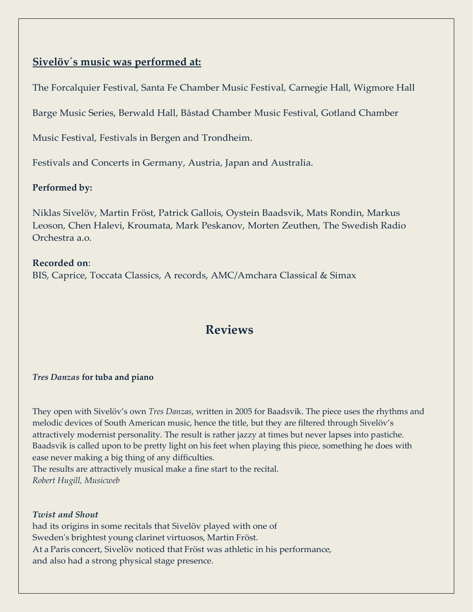## **Sivelöv´s music was performed at:**

The Forcalquier Festival, Santa Fe Chamber Music Festival, Carnegie Hall, Wigmore Hall

Barge Music Series, Berwald Hall, Båstad Chamber Music Festival, Gotland Chamber

Music Festival, Festivals in Bergen and Trondheim.

Festivals and Concerts in Germany, Austria, Japan and Australia.

## **Performed by:**

Niklas Sivelöv, Martin Fröst, Patrick Gallois, Oystein Baadsvik, Mats Rondin, Markus Leoson, Chen Halevi, Kroumata, Mark Peskanov, Morten Zeuthen, The Swedish Radio Orchestra a.o.

## **Recorded on**:

BIS, Caprice, Toccata Classics, A records, AMC/Amchara Classical & Simax

# **Reviews**

## *Tres Danzas* **for tuba and piano**

They open with Sivelöv's own *Tres Danzas*, written in 2005 for Baadsvik. The piece uses the rhythms and melodic devices of South American music, hence the title, but they are filtered through Sivelöv's attractively modernist personality. The result is rather jazzy at times but never lapses into pastiche. Baadsvik is called upon to be pretty light on his feet when playing this piece, something he does with ease never making a big thing of any difficulties.

The results are attractively musical make a fine start to the recital. *Robert Hugill, Musicweb*

*Twist and Shout* had its origins in some recitals that Sivelöv played with one of Sweden's brightest young clarinet virtuosos, Martin Fröst. At a Paris concert, Sivelöv noticed that Fröst was athletic in his performance, and also had a strong physical stage presence.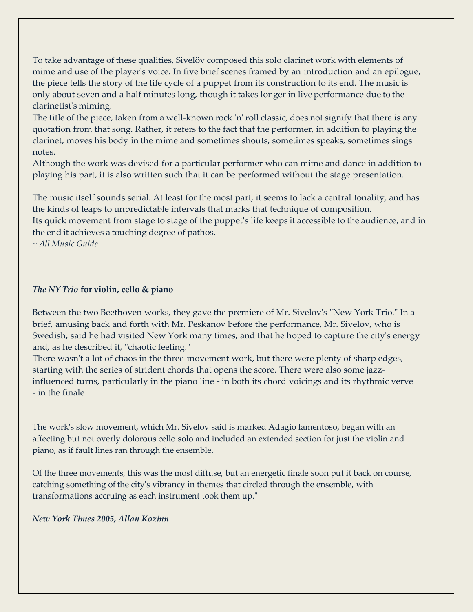To take advantage of these qualities, Sivelöv composed this solo clarinet work with elements of mime and use of the player's voice. In five brief scenes framed by an introduction and an epilogue, the piece tells the story of the life cycle of a puppet from its construction to its end. The music is only about seven and a half minutes long, though it takes longer in liveperformance due to the clarinetist's miming.

The title of the piece, taken from a well-known rock 'n' roll classic, does not signify that there is any quotation from that song. Rather, it refers to the fact that the performer, in addition to playing the clarinet, moves his body in the mime and sometimes shouts, sometimes speaks, sometimes sings notes.

Although the work was devised for a particular performer who can mime and dance in addition to playing his part, it is also written such that it can be performed without the stage presentation.

The music itself sounds serial. At least for the most part, it seems to lack a central tonality, and has the kinds of leaps to unpredictable intervals that marks that technique of composition.

Its quick movement from stage to stage of the puppet's life keeps it accessible to the audience, and in the end it achieves a touching degree of pathos.

~ *All Music Guide*

### *The NY Trio* **for violin, cello & piano**

Between the two Beethoven works, they gave the premiere of Mr. Sivelov's "New York Trio." In a brief, amusing back and forth with Mr. Peskanov before the performance, Mr. Sivelov, who is Swedish, said he had visited New York many times, and that he hoped to capture the city's energy and, as he described it, "chaotic feeling."

There wasn't a lot of chaos in the three-movement work, but there were plenty of sharp edges, starting with the series of strident chords that opens the score. There were also some jazzinfluenced turns, particularly in the piano line - in both its chord voicings and its rhythmic verve - in the finale

The work's slow movement, which Mr. Sivelov said is marked Adagio lamentoso, began with an affecting but not overly dolorous cello solo and included an extended section for just the violin and piano, as if fault lines ran through the ensemble.

Of the three movements, this was the most diffuse, but an energetic finale soon put it back on course, catching something of the city's vibrancy in themes that circled through the ensemble, with transformations accruing as each instrument took them up."

*New York Times 2005, Allan Kozinn*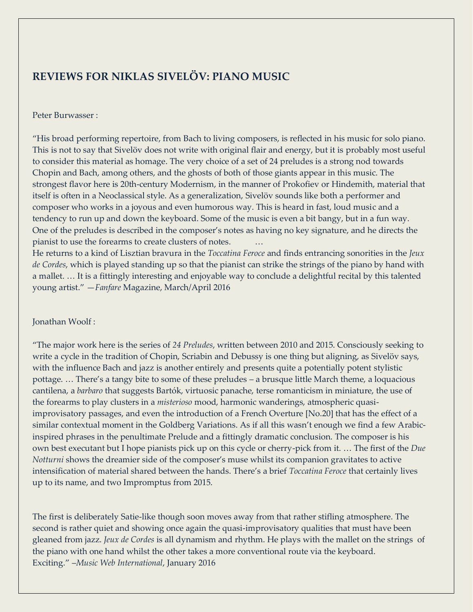# **REVIEWS FOR NIKLAS SIVELÖV: PIANO MUSIC**

#### Peter Burwasser :

"His broad performing repertoire, from Bach to living composers, is reflected in his music for solo piano. This is not to say that Sivelöv does not write with original flair and energy, but it is probably most useful to consider this material as homage. The very choice of a set of 24 preludes is a strong nod towards Chopin and Bach, among others, and the ghosts of both of those giants appear in this music. The strongest flavor here is 20th-century Modernism, in the manner of Prokofiev or Hindemith, material that itself is often in a Neoclassical style. As a generalization, Sivelöv sounds like both a performer and composer who works in a joyous and even humorous way. This is heard in fast, loud music and a tendency to run up and down the keyboard. Some of the music is even a bit bangy, but in a fun way. One of the preludes is described in the composer's notes as having no key signature, and he directs the pianist to use the forearms to create clusters of notes. …

He returns to a kind of Lisztian bravura in the *Toccatina Feroce* and finds entrancing sonorities in the *Jeux de Cordes*, which is played standing up so that the pianist can strike the strings of the piano by hand with a mallet. … It is a fittingly interesting and enjoyable way to conclude a delightful recital by this talented young artist." —*Fanfare* Magazine, March/April 2016

#### Jonathan Woolf :

"The major work here is the series of *24 Preludes*, written between 2010 and 2015. Consciously seeking to write a cycle in the tradition of Chopin, Scriabin and Debussy is one thing but aligning, as Sivelöv says, with the influence Bach and jazz is another entirely and presents quite a potentially potent stylistic pottage. … There's a tangy bite to some of these preludes – a brusque little March theme, a loquacious cantilena, a *barbaro* that suggests Bartók, virtuosic panache, terse romanticism in miniature, the use of the forearms to play clusters in a *misterioso* mood, harmonic wanderings, atmospheric quasiimprovisatory passages, and even the introduction of a French Overture [No.20] that has the effect of a similar contextual moment in the Goldberg Variations. As if all this wasn't enough we find a few Arabicinspired phrases in the penultimate Prelude and a fittingly dramatic conclusion. The composer is his own best executant but I hope pianists pick up on this cycle or cherry-pick from it. … The first of the *Due Notturni* shows the dreamier side of the composer's muse whilst its companion gravitates to active intensification of material shared between the hands. There's a brief *Toccatina Feroce* that certainly lives up to its name, and two Impromptus from 2015.

The first is deliberately Satie-like though soon moves away from that rather stifling atmosphere. The second is rather quiet and showing once again the quasi-improvisatory qualities that must have been gleaned from jazz. *Jeux de Cordes* is all dynamism and rhythm. He plays with the mallet on the strings of the piano with one hand whilst the other takes a more conventional route via the keyboard. Exciting." –*[Music Web International](https://www.musicweb-international.com/classrev/2016/Jan/Sivelov_piano_TOCC0271.htm%E2%80%9D)*, January 2016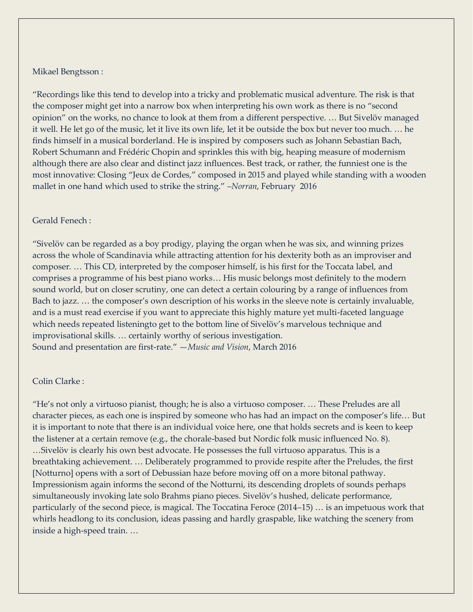#### Mikael Bengtsson :

"Recordings like this tend to develop into a tricky and problematic musical adventure. The risk is that the composer might get into a narrow box when interpreting his own work as there is no "second opinion" on the works, no chance to look at them from a different perspective. … But Sivelöv managed it well. He let go of the music, let it live its own life, let it be outside the box but never too much. … he finds himself in a musical borderland. He is inspired by composers such as Johann Sebastian Bach, Robert Schumann and Frédéric Chopin and sprinkles this with big, heaping measure of modernism although there are also clear and distinct jazz influences. Best track, or rather, the funniest one is the most innovative: Closing "Jeux de Cordes," composed in 2015 and played while standing with a wooden mallet in one hand which used to strike the string." –*[Norran](https://norran.se/noje-kultur/musik/pianisten-niklas-sivelov-tolkar-sig-sjalv-och-resultatet-blir-stralande-540045%23/â€)*, February 2016

### Gerald Fenech :

"Sivelöv can be regarded as a boy prodigy, playing the organ when he was six, and winning prizes across the whole of Scandinavia while attracting attention for his dexterity both as an improviser and composer. … This CD, interpreted by the composer himself, is his first for the Toccata label, and comprises a programme of his best piano works… His music belongs most definitely to the modern sound world, but on closer scrutiny, one can detect a certain colouring by a range of influences from Bach to jazz. … the composer's own description of his works in the sleeve note is certainly invaluable, and is a must read exercise if you want to appreciate this highly mature yet multi-faceted language which needs repeated listeningto get to the bottom line of Sivelöv's marvelous technique and improvisational skills. … certainly worthy of serious investigation. Sound and presentation are first-rate." —*Music and Vision*, March 2016

#### Colin Clarke :

"He's not only a virtuoso pianist, though; he is also a virtuoso composer. … These Preludes are all character pieces, as each one is inspired by someone who has had an impact on the composer's life… But it is important to note that there is an individual voice here, one that holds secrets and is keen to keep the listener at a certain remove (e.g., the chorale-based but Nordic folk music influenced No. 8). …Sivelöv is clearly his own best advocate. He possesses the full virtuoso apparatus. This is a breathtaking achievement. … Deliberately programmed to provide respite after the Preludes, the first [Notturno] opens with a sort of Debussian haze before moving off on a more bitonal pathway. Impressionism again informs the second of the Notturni, its descending droplets of sounds perhaps simultaneously invoking late solo Brahms piano pieces. Sivelöv's hushed, delicate performance, particularly of the second piece, is magical. The Toccatina Feroce (2014–15) … is an impetuous work that whirls headlong to its conclusion, ideas passing and hardly graspable, like watching the scenery from inside a high-speed train. …